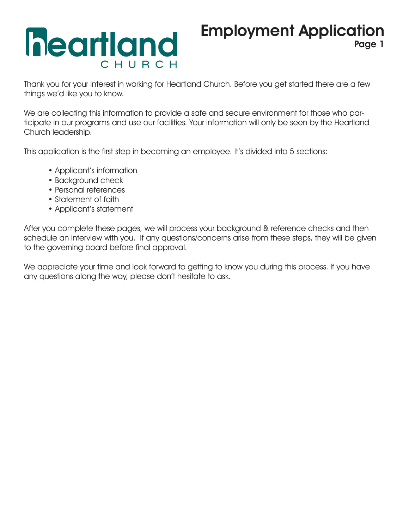# **heartland** CHURC

### Employment Application Page 1

Thank you for your interest in working for Heartland Church. Before you get started there are a few things we'd like you to know.

We are collecting this information to provide a safe and secure environment for those who participate in our programs and use our facilities. Your information will only be seen by the Heartland Church leadership.

This application is the first step in becoming an employee. It's divided into 5 sections:

- Applicant's information
- Background check
- Personal references
- Statement of faith
- Applicant's statement

After you complete these pages, we will process your background & reference checks and then schedule an interview with you. If any questions/concerns arise from these steps, they will be given to the governing board before final approval.

We appreciate your time and look forward to getting to know you during this process. If you have any questions along the way, please don't hesitate to ask.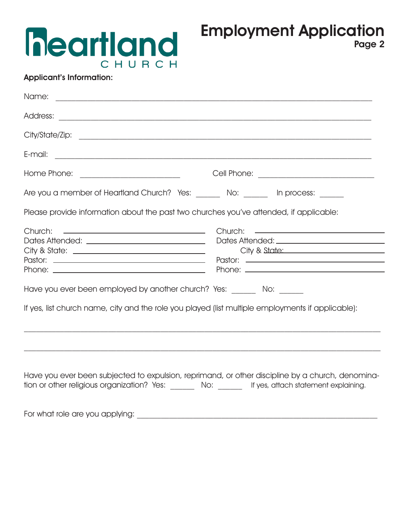## **heartland** CHURCH

#### Applicant's Information:

| Name:                                                                                                                                                                                                                                                                                           |                                                                                                                                                                      |
|-------------------------------------------------------------------------------------------------------------------------------------------------------------------------------------------------------------------------------------------------------------------------------------------------|----------------------------------------------------------------------------------------------------------------------------------------------------------------------|
|                                                                                                                                                                                                                                                                                                 |                                                                                                                                                                      |
| City/State/Zip: www.accommunication.com/www.accommunication.com/www.accommunication.com/www.accommunication.com                                                                                                                                                                                 |                                                                                                                                                                      |
| E-mail:                                                                                                                                                                                                                                                                                         | <u> 1989 - Johann Stoff, disk foar it fan it fan it fan it fan it fan it fan it fan it fan it fan it fan it fan i</u>                                                |
|                                                                                                                                                                                                                                                                                                 |                                                                                                                                                                      |
| Are you a member of Heartland Church? Yes: No: In process:                                                                                                                                                                                                                                      |                                                                                                                                                                      |
| Please provide information about the past two churches you've attended, if applicable:                                                                                                                                                                                                          |                                                                                                                                                                      |
| Church:<br><u> 1980 - John Stone, mars and de la population de la population de la population de la population de la popula</u><br>Have you ever been employed by another church? Yes: No:<br>If yes, list church name, city and the role you played (list multiple employments if applicable): | Church: <u>__________________________________</u><br>City & State: 2008 2010 2010 2010 2010 2011 2021 2022 2023 2024 2022 2023 2024 2022 2023 2024 2022 2023 2024 20 |
|                                                                                                                                                                                                                                                                                                 |                                                                                                                                                                      |
| Have you ever been subjected to expulsion, reprimand, or other discipline by a church, denomina-<br>tion or other religious organization? Yes: _______ No: ______ If yes, attach statement explaining.                                                                                          |                                                                                                                                                                      |
|                                                                                                                                                                                                                                                                                                 |                                                                                                                                                                      |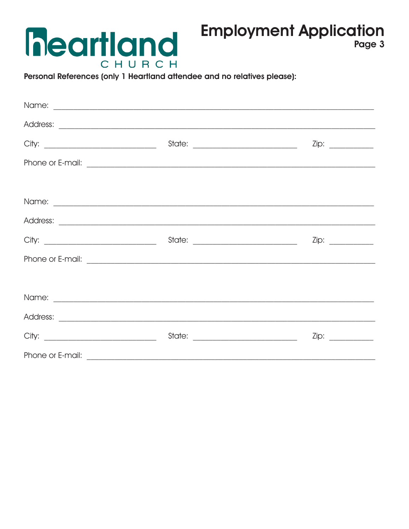### **Employment Application**



Page 3

Personal References (only 1 Heartland attendee and no relatives please):

|                  | Zip: |
|------------------|------|
|                  |      |
|                  |      |
|                  |      |
|                  |      |
|                  |      |
| Phone or E-mail: |      |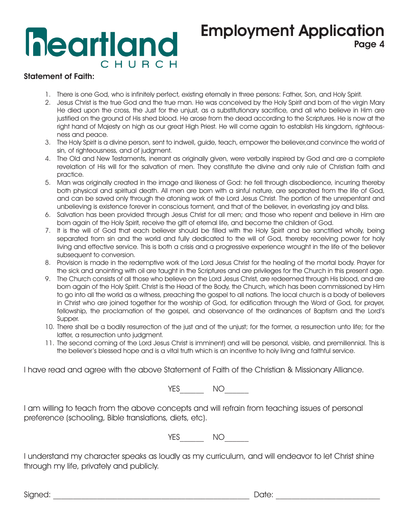## **heartland** CHURCH

### Employment Application Page 4

#### Statement of Faith:

- 1. There is one God, who is infinitely perfect, existing eternally in three persons: Father, Son, and Holy Spirit.
- 2. Jesus Christ is the true God and the true man. He was conceived by the Holy Spirit and born of the virgin Mary He died upon the cross, the Just for the unjust, as a substitutionary sacrifice, and all who believe in Him are justified on the ground of His shed blood. He arose from the dead according to the Scriptures. He is now at the right hand of Majesty on high as our great High Priest. He will come again to establish His kingdom, righteousness and peace.
- 3. The Holy Spirit is a divine person, sent to indwell, guide, teach, empower the believer,and convince the world of sin, of righteousness, and of judgment.
- 4. The Old and New Testaments, inerrant as originally given, were verbally inspired by God and are a complete revelation of His will for the salvation of men. They constitute the divine and only rule of Christian faith and practice.
- 5. Man was originally created in the image and likeness of God: he fell through disobedience, incurring thereby both physical and spiritual death. All men are born with a sinful nature, are separated from the life of God, and can be saved only through the atoning work of the Lord Jesus Christ. The portion of the unrepentant and unbelieving is existence forever in conscious torment, and that of the believer, in everlasting joy and bliss.
- 6. Salvation has been provided through Jesus Christ for all men; and those who repent and believe in Him are born again of the Holy Spirit, receive the gift of eternal life, and become the children of God.
- 7. It is the will of God that each believer should be filled with the Holy Spirit and be sanctified wholly, being separated from sin and the world and fully dedicated to the will of God, thereby receiving power for holy living and effective service. This is both a crisis and a progressive experience wrought in the life of the believer subsequent to conversion.
- 8. Provision is made in the redemptive work of the Lord Jesus Christ for the healing of the mortal body. Prayer for the sick and anointing with oil are taught in the Scriptures and are privileges for the Church in this present age.
- 9. The Church consists of all those who believe on the Lord Jesus Christ, are redeemed through His blood, and are born again of the Holy Spirit. Christ is the Head of the Body, the Church, which has been commissioned by Him to go into all the world as a witness, preaching the gospel to all nations. The local church is a body of believers in Christ who are joined together for the worship of God, for edification through the Word of God, for prayer, fellowship, the proclamation of the gospel, and observance of the ordinances of Baptism and the Lord's Supper.
- 10. There shall be a bodily resurrection of the just and of the unjust; for the former, a resurrection unto life; for the latter, a resurrection unto judgment.
- 11. The second coming of the Lord Jesus Christ is imminent) and will be personal, visible, and premillennial. This is the believer's blessed hope and is a vital truth which is an incentive to holy living and faithful service.

I have read and agree with the above Statement of Faith of the Christian & Missionary Alliance.

YES\_\_\_\_\_\_\_\_\_ NO\_

I am willing to teach from the above concepts and will refrain from teaching issues of personal preference (schooling, Bible translations, diets, etc).

YES NO

I understand my character speaks as loudly as my curriculum, and will endeavor to let Christ shine through my life, privately and publicly.

Signed: with the state of the state of the state of the Signed: with the state of the state of the state of th